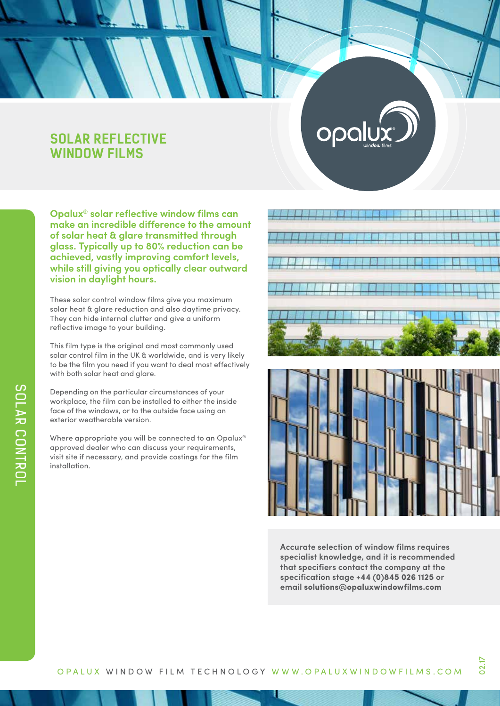# **SOLAR REFLECTIVE WINDOW FILMS**

**Opalux® solar reflective window films can make an incredible difference to the amount of solar heat & glare transmitted through glass. Typically up to 80% reduction can be achieved, vastly improving comfort levels, while still giving you optically clear outward vision in daylight hours.**

These solar control window films give you maximum solar heat & glare reduction and also daytime privacy. They can hide internal clutter and give a uniform reflective image to your building.

This film type is the original and most commonly used solar control film in the UK & worldwide, and is very likely to be the film you need if you want to deal most effectively with both solar heat and glare.

Depending on the particular circumstances of your workplace, the film can be installed to either the inside face of the windows, or to the outside face using an exterior weatherable version.

Where appropriate you will be connected to an Opalux® approved dealer who can discuss your requirements, visit site if necessary, and provide costings for the film installation.

opal





**Accurate selection of window films requires specialist knowledge, and it is recommended that specifiers contact the company at the specification stage +44 (0)845 026 1125 or email solutions@opaluxwindowfilms.com**